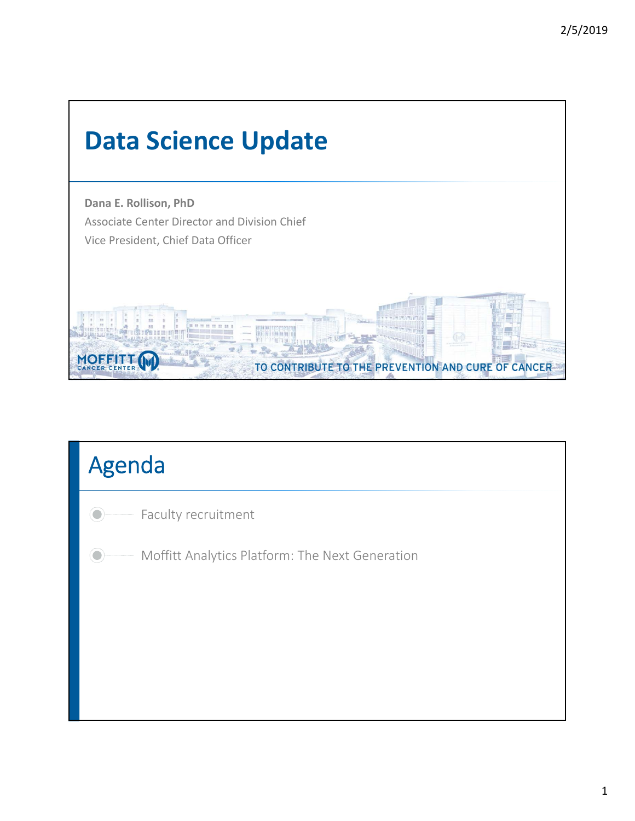

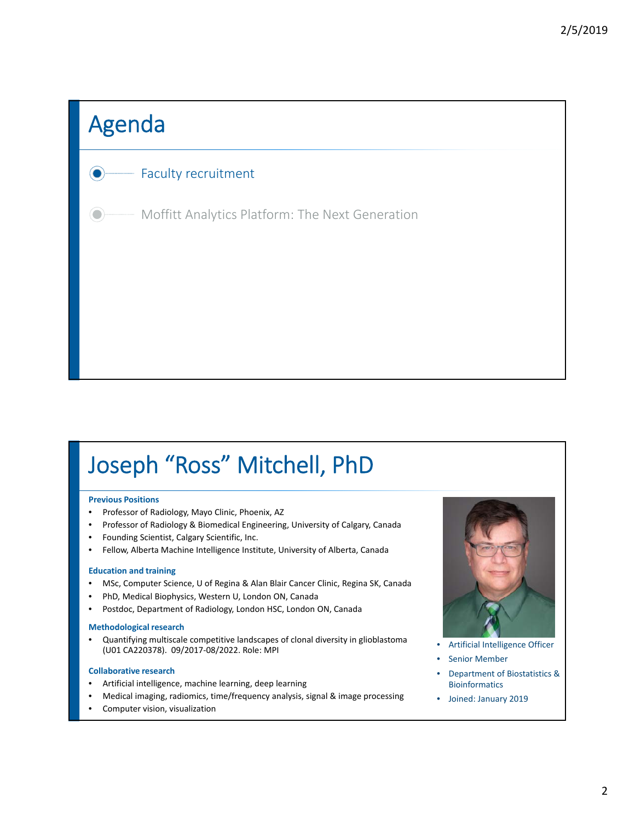# Agenda

#### Faculty recruitment

Moffitt Analytics Platform: The Next Generation

## Joseph "Ross" Mitchell, PhD

#### **Previous Positions**

- Professor of Radiology, Mayo Clinic, Phoenix, AZ
- Professor of Radiology & Biomedical Engineering, University of Calgary, Canada
- Founding Scientist, Calgary Scientific, Inc.
- Fellow, Alberta Machine Intelligence Institute, University of Alberta, Canada

#### **Education and training**

- MSc, Computer Science, U of Regina & Alan Blair Cancer Clinic, Regina SK, Canada
- PhD, Medical Biophysics, Western U, London ON, Canada
- Postdoc, Department of Radiology, London HSC, London ON, Canada

#### **Methodological research**

• Quantifying multiscale competitive landscapes of clonal diversity in glioblastoma (U01 CA220378). 09/2017‐08/2022. Role: MPI

#### **Collaborative research**

- Artificial intelligence, machine learning, deep learning
- Medical imaging, radiomics, time/frequency analysis, signal & image processing
- Computer vision, visualization



• Artificial Intelligence Officer

- Senior Member
- Department of Biostatistics & Bioinformatics
- Joined: January 2019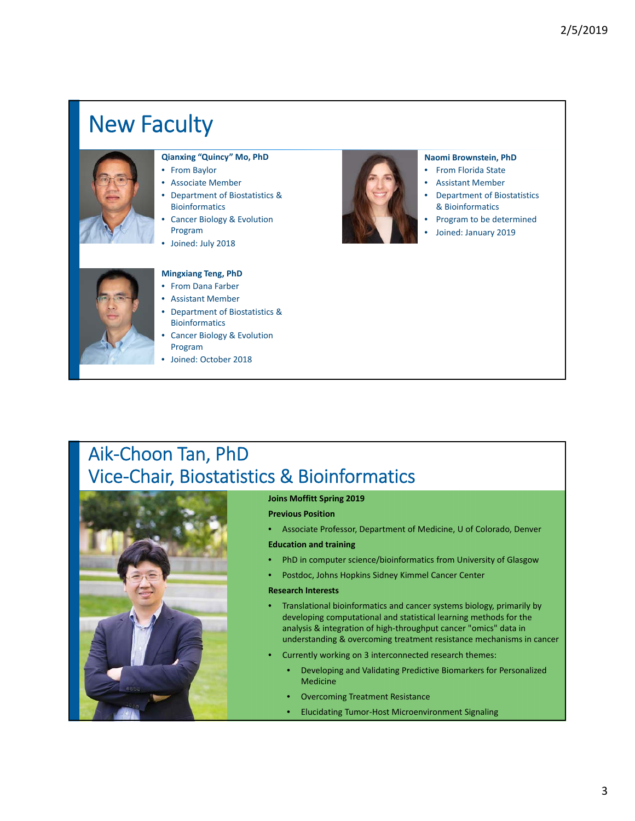## New Faculty



#### **Qianxing "Quincy" Mo, PhD**

- From Baylor
- Associate Member
- Department of Biostatistics & **Bioinformatics**
- Cancer Biology & Evolution Program
- Joined: July 2018



#### **Naomi Brownstein, PhD**

- From Florida State
- Assistant Member
- Department of Biostatistics & Bioinformatics
- Program to be determined
- Joined: January 2019



#### **Mingxiang Teng, PhD**

- From Dana Farber
- Assistant Member
- Department of Biostatistics & **Bioinformatics**
- Cancer Biology & Evolution Program
- Joined: October 2018

### Aik‐Choon Tan, PhD Vice‐Chair, Biostatistics & Bioinformatics



#### **Joins Moffitt Spring 2019**

**Previous Position**

• Associate Professor, Department of Medicine, U of Colorado, Denver

**Education and training**

- PhD in computer science/bioinformatics from University of Glasgow
- Postdoc, Johns Hopkins Sidney Kimmel Cancer Center

#### **Research Interests**

- Translational bioinformatics and cancer systems biology, primarily by developing computational and statistical learning methods for the analysis & integration of high‐throughput cancer "omics" data in understanding & overcoming treatment resistance mechanisms in cancer
- Currently working on 3 interconnected research themes:
	- Developing and Validating Predictive Biomarkers for Personalized Medicine
	- Overcoming Treatment Resistance
	- Elucidating Tumor‐Host Microenvironment Signaling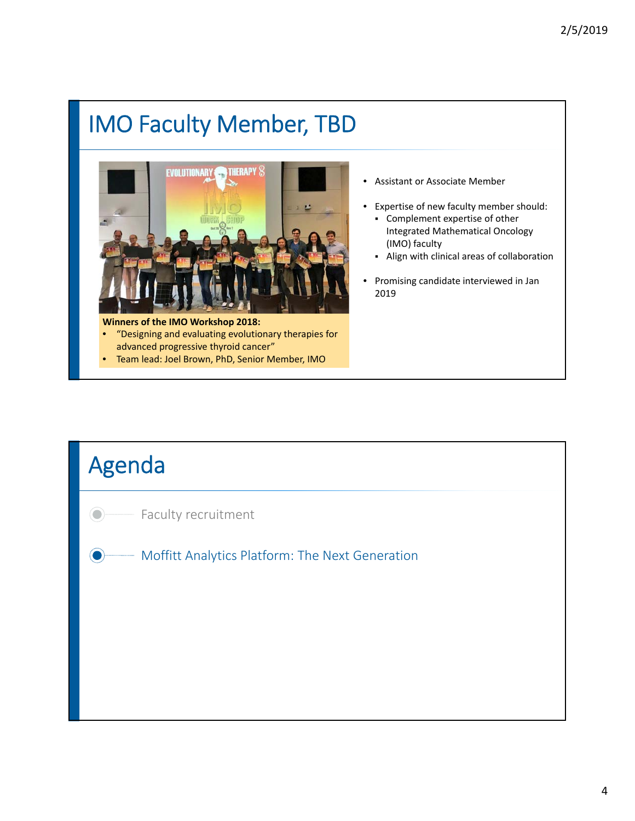# IMO Faculty Member, TBD



**Winners of the IMO Workshop 2018:** • "Designing and evaluating evolutionary therapies for advanced progressive thyroid cancer"

• Team lead: Joel Brown, PhD, Senior Member, IMO

- Assistant or Associate Member
- Expertise of new faculty member should: Complement expertise of other Integrated Mathematical Oncology (IMO) faculty
	- Align with clinical areas of collaboration
- Promising candidate interviewed in Jan 2019

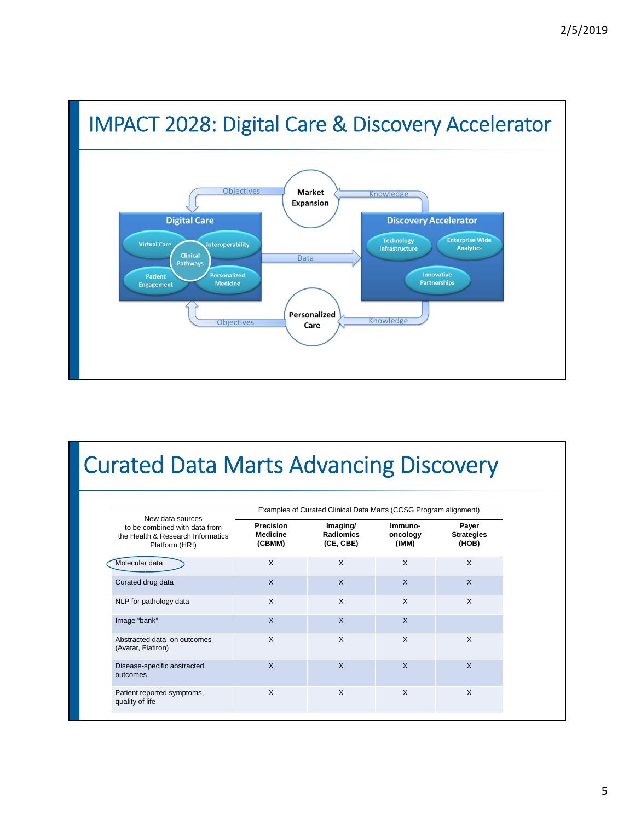

### Curated Data Marts Advancing Discovery

|                                                                                                          |                                               | Examples of Curated Clinical Data Marts (CCSG Program alignment) |                              |                                     |
|----------------------------------------------------------------------------------------------------------|-----------------------------------------------|------------------------------------------------------------------|------------------------------|-------------------------------------|
| New data sources<br>to be combined with data from<br>the Health & Research Informatics<br>Platform (HRI) | <b>Precision</b><br><b>Medicine</b><br>(CBMM) | Imaging/<br><b>Radiomics</b><br>(CE, CBE)                        | Immuno-<br>oncology<br>(IMM) | Payer<br><b>Strategies</b><br>(HOB) |
| Molecular data                                                                                           | X                                             | $\mathsf{x}$                                                     | X                            | X                                   |
| Curated drug data                                                                                        | $\mathsf{x}$                                  | $\mathsf{X}$                                                     | $\mathsf{x}$                 | $\mathsf{x}$                        |
| NLP for pathology data                                                                                   | X                                             | $\mathsf{x}$                                                     | X                            | X                                   |
| Image "bank"                                                                                             | $\mathsf{x}$                                  | $\times$                                                         | $\mathsf{x}$                 |                                     |
| Abstracted data on outcomes<br>(Avatar, Flatiron)                                                        | $\mathsf{x}$                                  | $\times$                                                         | X                            | X                                   |
| Disease-specific abstracted<br>outcomes                                                                  | $\mathsf{x}$                                  | $\mathsf{x}$                                                     | $\mathsf{x}$                 | $\times$                            |
| Patient reported symptoms,<br>quality of life                                                            | $\mathsf{x}$                                  | $\times$                                                         | X                            | X                                   |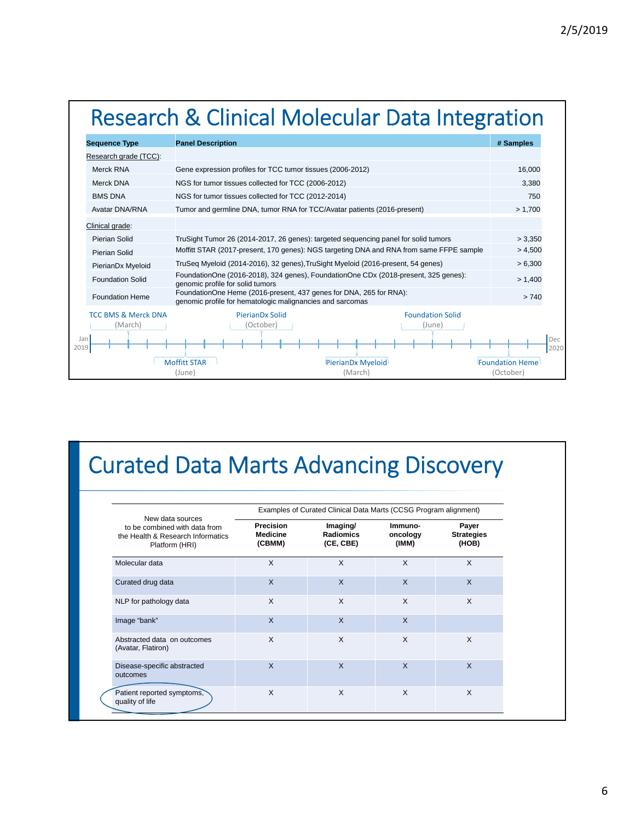# Research & Clinical Molecular Data Integration

| <b>Sequence Type</b>                      | <b>Panel Description</b>                                                                                                        | # Samples                           |
|-------------------------------------------|---------------------------------------------------------------------------------------------------------------------------------|-------------------------------------|
| Research grade (TCC):                     |                                                                                                                                 |                                     |
| Merck RNA                                 | Gene expression profiles for TCC tumor tissues (2006-2012)                                                                      | 16.000                              |
| Merck DNA                                 | NGS for tumor tissues collected for TCC (2006-2012)                                                                             | 3.380                               |
| <b>BMS DNA</b>                            | NGS for tumor tissues collected for TCC (2012-2014)                                                                             | 750                                 |
| Avatar DNA/RNA                            | Tumor and germline DNA, tumor RNA for TCC/Avatar patients (2016-present)                                                        | > 1,700                             |
| Clinical grade:                           |                                                                                                                                 |                                     |
| Pierian Solid                             | TruSight Tumor 26 (2014-2017, 26 genes): targeted sequencing panel for solid tumors                                             | > 3,350                             |
| Pierian Solid                             | Moffitt STAR (2017-present, 170 genes): NGS targeting DNA and RNA from same FFPE sample                                         | > 4,500                             |
| PierianDx Myeloid                         | TruSeg Myeloid (2014-2016), 32 genes), TruSight Myeloid (2016-present, 54 genes)                                                | > 6,300                             |
| <b>Foundation Solid</b>                   | FoundationOne (2016-2018), 324 genes), FoundationOne CDx (2018-present, 325 genes):<br>genomic profile for solid tumors         | > 1,400                             |
| <b>Foundation Heme</b>                    | FoundationOne Heme (2016-present, 437 genes for DNA, 265 for RNA):<br>genomic profile for hematologic malignancies and sarcomas | >740                                |
| <b>TCC BMS &amp; Merck DNA</b><br>(March) | PierianDx Solid<br><b>Foundation Solid</b><br>(October)<br>(June)                                                               |                                     |
| Jan<br>2019                               |                                                                                                                                 |                                     |
|                                           | <b>Moffitt STAR</b><br>PierianDx Myeloid<br>(March)<br>(June)                                                                   | <b>Foundation Heme</b><br>(October) |

## Curated Data Marts Advancing Discovery

|                                                                                                          |                                        | Examples of Curated Clinical Data Marts (CCSG Program alignment) |                              |                                     |
|----------------------------------------------------------------------------------------------------------|----------------------------------------|------------------------------------------------------------------|------------------------------|-------------------------------------|
| New data sources<br>to be combined with data from<br>the Health & Research Informatics<br>Platform (HRI) | <b>Precision</b><br>Medicine<br>(CBMM) | Imaging/<br><b>Radiomics</b><br>(CE, CBE)                        | Immuno-<br>oncology<br>(IMM) | Payer<br><b>Strategies</b><br>(HOB) |
| Molecular data                                                                                           | X                                      | $\times$                                                         | X                            | X                                   |
| Curated drug data                                                                                        | $\times$                               | $\mathsf{x}$                                                     | $\mathsf{x}$                 | $\times$                            |
| NLP for pathology data                                                                                   | X                                      | $\boldsymbol{\mathsf{x}}$                                        | $\times$                     | X                                   |
| Image "bank"                                                                                             | $\times$                               | $\mathsf{x}$                                                     | $\mathsf{x}$                 |                                     |
| Abstracted data on outcomes<br>(Avatar, Flatiron)                                                        | X                                      | $\times$                                                         | X                            | X                                   |
| Disease-specific abstracted<br>outcomes                                                                  | $\times$                               | $\mathsf{X}$                                                     | X                            | $\times$                            |
| Patient reported symptoms,<br>quality of life                                                            | X                                      | $\times$                                                         | $\times$                     | X                                   |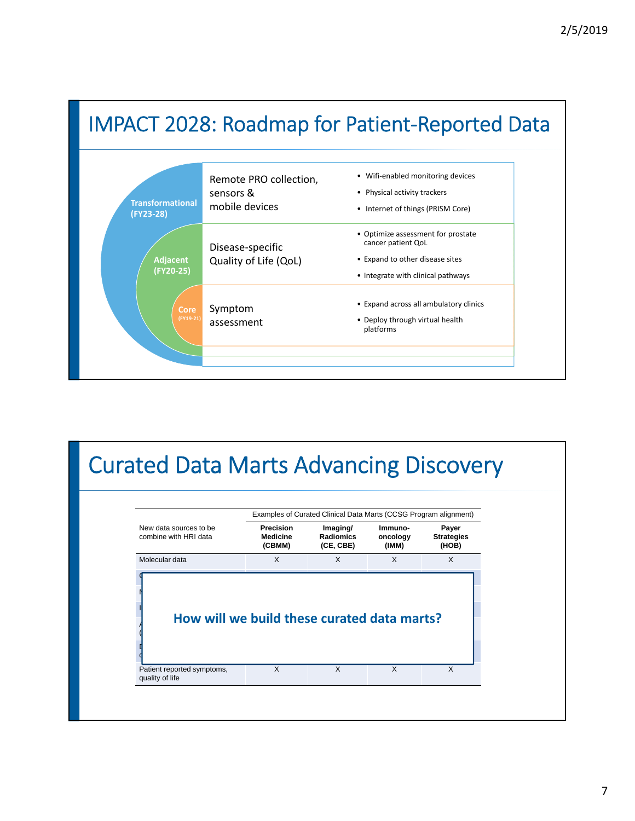



| New data sources to be<br>combine with HRI data                           | Precision<br><b>Medicine</b><br>(CBMM) | Imaging/<br><b>Radiomics</b><br>(CE, CBE) | Immuno-<br>oncology<br>(IMM) | Payer<br><b>Strategies</b><br>(HOB) |
|---------------------------------------------------------------------------|----------------------------------------|-------------------------------------------|------------------------------|-------------------------------------|
| Molecular data                                                            | $\times$                               | X                                         | X                            | $\times$                            |
|                                                                           |                                        |                                           |                              |                                     |
| How will we build these curated data marts?<br>Patient reported symptoms, | $\times$                               | X                                         | $\mathsf{x}$                 | $\times$                            |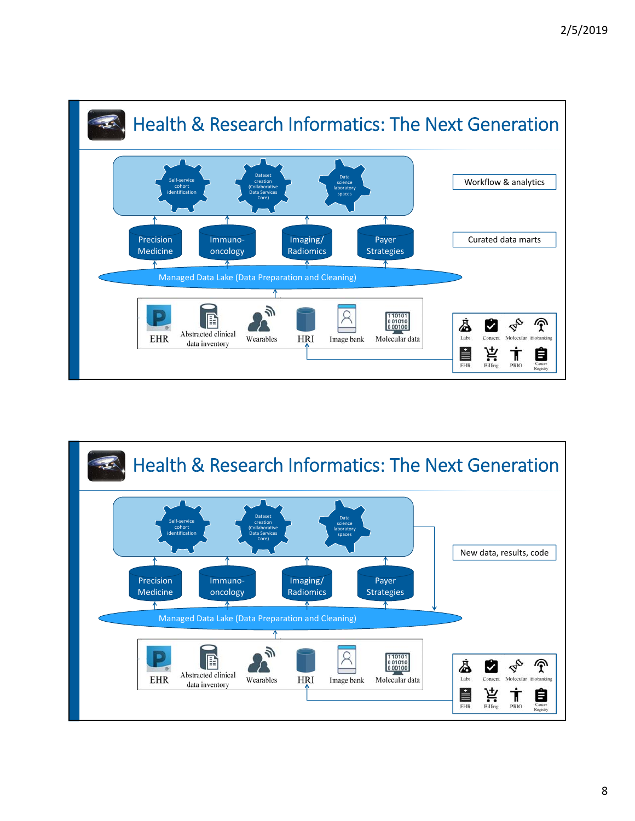